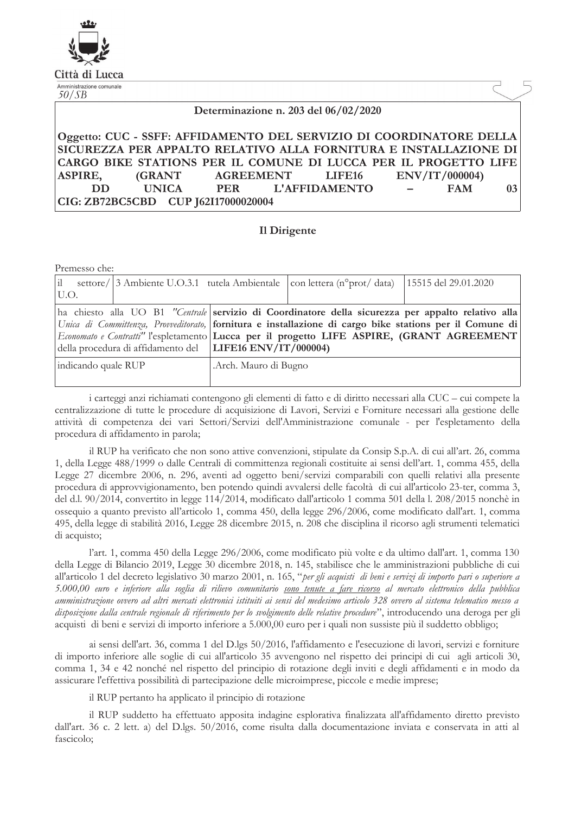| .494.          |  |
|----------------|--|
|                |  |
|                |  |
|                |  |
| Città di Lucca |  |

Amministrazione comunale

 $50/SB$ 

### Determinazione n. 203 del 06/02/2020

#### Oggetto: CUC - SSFF: AFFIDAMENTO DEL SERVIZIO DI COORDINATORE DELLA SICUREZZA PER APPALTO RELATIVO ALLA FORNITURA E INSTALLAZIONE DI CARGO BIKE STATIONS PER IL COMUNE DI LUCCA PER IL PROGETTO LIFE **AGREEMENT** ENV/IT/000004) **ASPIRE. (GRANT** LIFE16 **DD L'AFFIDAMENTO FAM UNICA PER** 03 CIG: ZB72BC5CBD CUP J62I17000020004

# Il Dirigente

Premesso che:

|                                                                                                                                                                                                                                                                                                                                                                                   |  |                      | settore/ 3 Ambiente U.O.3.1 tutela Ambientale $ $ con lettera (n° prot/ data) | 15515 del 29.01.2020 |
|-----------------------------------------------------------------------------------------------------------------------------------------------------------------------------------------------------------------------------------------------------------------------------------------------------------------------------------------------------------------------------------|--|----------------------|-------------------------------------------------------------------------------|----------------------|
| U.O.<br>ha chiesto alla UO B1 "Centrale servizio di Coordinatore della sicurezza per appalto relativo alla<br>Unica di Committenza, Provveditorato, fornitura e installazione di cargo bike stations per il Comune di<br>Economato e Contratti" l'espletamento Lucca per il progetto LIFE ASPIRE, (GRANT AGREEMENT)<br>della procedura di affidamento del   LIFE16 ENV/IT/000004) |  |                      |                                                                               |                      |
| indicando quale RUP                                                                                                                                                                                                                                                                                                                                                               |  | Arch. Mauro di Bugno |                                                                               |                      |

i carteggi anzi richiamati contengono gli elementi di fatto e di diritto necessari alla CUC – cui compete la centralizzazione di tutte le procedure di acquisizione di Lavori, Servizi e Forniture necessari alla gestione delle attività di competenza dei vari Settori/Servizi dell'Amministrazione comunale - per l'espletamento della procedura di affidamento in parola;

il RUP ha verificato che non sono attive convenzioni, stipulate da Consip S.p.A. di cui all'art. 26, comma 1, della Legge 488/1999 o dalle Centrali di committenza regionali costituite ai sensi dell'art. 1, comma 455, della Legge 27 dicembre 2006, n. 296, aventi ad oggetto beni/servizi comparabili con quelli relativi alla presente procedura di approvvigionamento, ben potendo quindi avvalersi delle facoltà di cui all'articolo 23-ter, comma 3, del d.l. 90/2014, convertito in legge 114/2014, modificato dall'articolo 1 comma 501 della l. 208/2015 nonchè in ossequio a quanto previsto all'articolo 1, comma 450, della legge 296/2006, come modificato dall'art. 1, comma 495, della legge di stabilità 2016, Legge 28 dicembre 2015, n. 208 che disciplina il ricorso agli strumenti telematici di acquisto;

l'art. 1, comma 450 della Legge 296/2006, come modificato più volte e da ultimo dall'art. 1, comma 130 della Legge di Bilancio 2019, Legge 30 dicembre 2018, n. 145, stabilisce che le amministrazioni pubbliche di cui all'articolo 1 del decreto legislativo 30 marzo 2001, n. 165, "per gli acquisti di beni e servizi di importo pari o superiore a 5.000,00 euro e inferiore alla soglia di rilievo comunitario sono tenute a fare ricorso al mercato elettronico della pubblica amministrazione ovvero ad altri mercati elettronici istituiti ai sensi del medesimo articolo 328 ovvero al sistema telematico messo a disposizione dalla centrale regionale di riferimento per lo svolgimento delle relative procedure", introducendo una deroga per gli acquisti di beni e servizi di importo inferiore a 5.000,00 euro per i quali non sussiste più il suddetto obbligo;

ai sensi dell'art. 36, comma 1 del D.lgs 50/2016, l'affidamento e l'esecuzione di lavori, servizi e forniture di importo inferiore alle soglie di cui all'articolo 35 avvengono nel rispetto dei principi di cui agli articoli 30, comma 1, 34 e 42 nonché nel rispetto del principio di rotazione degli inviti e degli affidamenti e in modo da assicurare l'effettiva possibilità di partecipazione delle microimprese, piccole e medie imprese;

il RUP pertanto ha applicato il principio di rotazione

il RUP suddetto ha effettuato apposita indagine esplorativa finalizzata all'affidamento diretto previsto dall'art. 36 c. 2 lett. a) del D.lgs. 50/2016, come risulta dalla documentazione inviata e conservata in atti al fascicolo: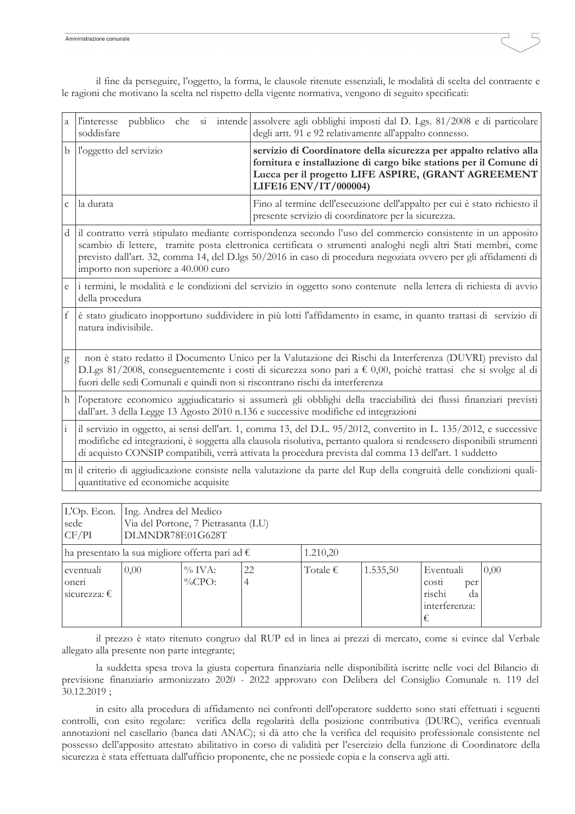| a             | l'interesse<br>soddisfare                                                                                                                                                                                                                                                                                                                                                              | pubblico che si intende assolvere agli obblighi imposti dal D. Lgs. 81/2008 e di particolare<br>degli artt. 91 e 92 relativamente all'appalto connesso.                                                                 |  |  |  |
|---------------|----------------------------------------------------------------------------------------------------------------------------------------------------------------------------------------------------------------------------------------------------------------------------------------------------------------------------------------------------------------------------------------|-------------------------------------------------------------------------------------------------------------------------------------------------------------------------------------------------------------------------|--|--|--|
| b             | l'oggetto del servizio                                                                                                                                                                                                                                                                                                                                                                 | servizio di Coordinatore della sicurezza per appalto relativo alla<br>fornitura e installazione di cargo bike stations per il Comune di<br>Lucca per il progetto LIFE ASPIRE, (GRANT AGREEMENT<br>LIFE16 ENV/IT/000004) |  |  |  |
| $\mathsf{C}$  | la durata                                                                                                                                                                                                                                                                                                                                                                              | Fino al termine dell'esecuzione dell'appalto per cui è stato richiesto il<br>presente servizio di coordinatore per la sicurezza.                                                                                        |  |  |  |
| d             | il contratto verrà stipulato mediante corrispondenza secondo l'uso del commercio consistente in un apposito<br>scambio di lettere, tramite posta elettronica certificata o strumenti analoghi negli altri Stati membri, come<br>previsto dall'art. 32, comma 14, del D.lgs 50/2016 in caso di procedura negoziata ovvero per gli affidamenti di<br>importo non superiore a 40.000 euro |                                                                                                                                                                                                                         |  |  |  |
| e             | i termini, le modalità e le condizioni del servizio in oggetto sono contenute nella lettera di richiesta di avvio<br>della procedura                                                                                                                                                                                                                                                   |                                                                                                                                                                                                                         |  |  |  |
| $\rm f$       | è stato giudicato inopportuno suddividere in più lotti l'affidamento in esame, in quanto trattasi di servizio di<br>natura indivisibile.                                                                                                                                                                                                                                               |                                                                                                                                                                                                                         |  |  |  |
| g             | non è stato redatto il Documento Unico per la Valutazione dei Rischi da Interferenza (DUVRI) previsto dal<br>D.Lgs 81/2008, conseguentemente i costi di sicurezza sono pari a € 0,00, poichè trattasi che si svolge al di<br>fuori delle sedi Comunali e quindi non si riscontrano rischi da interferenza                                                                              |                                                                                                                                                                                                                         |  |  |  |
| h             | l'operatore economico aggiudicatario si assumerà gli obblighi della tracciabilità dei flussi finanziari previsti<br>dall'art. 3 della Legge 13 Agosto 2010 n.136 e successive modifiche ed integrazioni                                                                                                                                                                                |                                                                                                                                                                                                                         |  |  |  |
| $\frac{1}{1}$ | il servizio in oggetto, ai sensi dell'art. 1, comma 13, del D.L. 95/2012, convertito in L. 135/2012, e successive<br>modifiche ed integrazioni, è soggetta alla clausola risolutiva, pertanto qualora si rendessero disponibili strumenti<br>di acquisto CONSIP compatibili, verrà attivata la procedura prevista dal comma 13 dell'art. 1 suddetto                                    |                                                                                                                                                                                                                         |  |  |  |
|               | m il criterio di aggiudicazione consiste nella valutazione da parte del Rup della congruità delle condizioni quali-<br>quantitative ed economiche acquisite                                                                                                                                                                                                                            |                                                                                                                                                                                                                         |  |  |  |

il fine da perseguire, l'oggetto, la forma, le clausole ritenute essenziali, le modalità di scelta del contraente e le ragioni che motivano la scelta nel rispetto della vigente normativa, vengono di seguito specificati:

| L'Op. Econ.<br>sede<br>CF/PI                                         | Ing. Andrea del Medico<br>Via del Portone, 7 Pietrasanta (LU)<br>DLMNDR78E01G628T |                        |         |                   |          |                                                                 |      |
|----------------------------------------------------------------------|-----------------------------------------------------------------------------------|------------------------|---------|-------------------|----------|-----------------------------------------------------------------|------|
| 1.210,20<br>ha presentato la sua migliore offerta pari ad $\epsilon$ |                                                                                   |                        |         |                   |          |                                                                 |      |
| eventuali<br>oneri<br>sicurezza: $\epsilon$                          | 0,00                                                                              | $\%$ IVA:<br>$\%$ CPO: | 22<br>4 | Totale $\epsilon$ | 1.535,50 | Eventuali<br>costi<br>per<br>rischi<br>da<br>interferenza:<br>€ | 0,00 |

il prezzo è stato ritenuto congruo dal RUP ed in linea ai prezzi di mercato, come si evince dal Verbale allegato alla presente non parte integrante;

la suddetta spesa trova la giusta copertura finanziaria nelle disponibilità iscritte nelle voci del Bilancio di previsione finanziario armonizzato 2020 - 2022 approvato con Delibera del Consiglio Comunale n. 119 del  $30.12.2019;$ 

in esito alla procedura di affidamento nei confronti dell'operatore suddetto sono stati effettuati i seguenti controlli, con esito regolare: verifica della regolarità della posizione contributiva (DURC), verifica eventuali annotazioni nel casellario (banca dati ANAC); si dà atto che la verifica del requisito professionale consistente nel possesso dell'apposito attestato abilitativo in corso di validità per l'esercizio della funzione di Coordinatore della sicurezza è stata effettuata dall'ufficio proponente, che ne possiede copia e la conserva agli atti.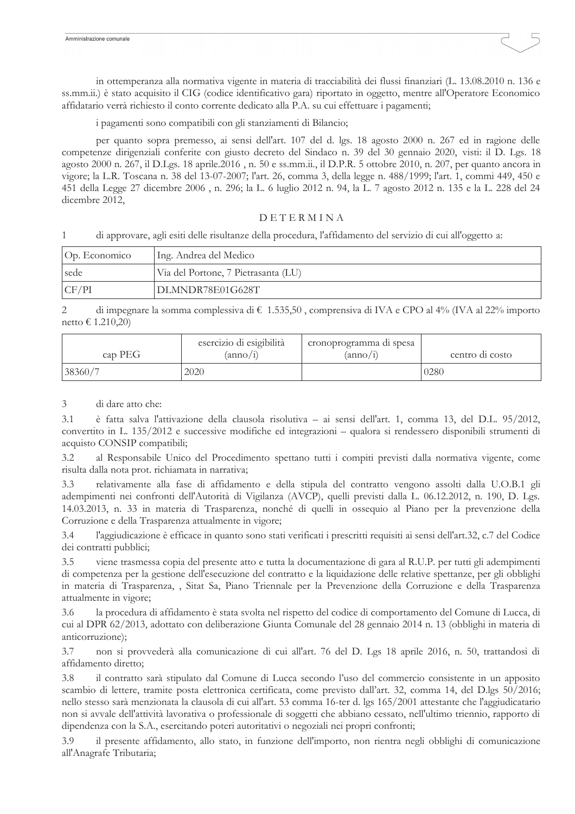in ottemperanza alla normativa vigente in materia di tracciabilità dei flussi finanziari (L. 13.08.2010 n. 136 e ss.mm.ii.) è stato acquisito il CIG (codice identificativo gara) riportato in oggetto, mentre all'Operatore Economico affidatario verrà richiesto il conto corrente dedicato alla P.A. su cui effettuare i pagamenti;

i pagamenti sono compatibili con gli stanziamenti di Bilancio;

per quanto sopra premesso, ai sensi dell'art. 107 del d. lgs. 18 agosto 2000 n. 267 ed in ragione delle competenze dirigenziali conferite con giusto decreto del Sindaco n. 39 del 30 gennaio 2020, visti: il D. Lgs. 18 agosto 2000 n. 267, il D.Lgs. 18 aprile.2016, n. 50 e ss.mm.ii., il D.P.R. 5 ottobre 2010, n. 207, per quanto ancora in vigore; la L.R. Toscana n. 38 del 13-07-2007; l'art. 26, comma 3, della legge n. 488/1999; l'art. 1, commi 449, 450 e 451 della Legge 27 dicembre 2006, n. 296; la L. 6 luglio 2012 n. 94, la L. 7 agosto 2012 n. 135 e la L. 228 del 24 dicembre 2012,

# DETERMINA

 $\mathbf{1}$ di approvare, agli esiti delle risultanze della procedura, l'affidamento del servizio di cui all'oggetto a:

| Op. Economico | Ing. Andrea del Medico              |  |  |
|---------------|-------------------------------------|--|--|
| sede          | Via del Portone, 7 Pietrasanta (LU) |  |  |
| CF/PI         | DLMNDR78E01G628T                    |  |  |

di impegnare la somma complessiva di  $\epsilon$  1.535,50, comprensiva di IVA e CPO al 4% (IVA al 22% importo  $\mathcal{D}_{\mathcal{A}}$ netto € 1.210,20)

| esercizio di esigibilità<br>cap PEG<br>$(\text{anno}/\text{1})$ |      | cronoprogramma di spesa<br>$(\text{anno}/1)$ | centro di costo |  |
|-----------------------------------------------------------------|------|----------------------------------------------|-----------------|--|
| 38360/7                                                         | 2020 |                                              | 0280            |  |

#### 3 di dare atto che:

 $3.1$ è fatta salva l'attivazione della clausola risolutiva – ai sensi dell'art. 1, comma 13, del D.L. 95/2012, convertito in L. 135/2012 e successive modifiche ed integrazioni – qualora si rendessero disponibili strumenti di acquisto CONSIP compatibili;

al Responsabile Unico del Procedimento spettano tutti i compiti previsti dalla normativa vigente, come  $3.2$ risulta dalla nota prot. richiamata in narrativa;

relativamente alla fase di affidamento e della stipula del contratto vengono assolti dalla U.O.B.1 gli  $33$ adempimenti nei confronti dell'Autorità di Vigilanza (AVCP), quelli previsti dalla L. 06.12.2012, n. 190, D. Lgs. 14.03.2013, n. 33 in materia di Trasparenza, nonché di quelli in ossequio al Piano per la prevenzione della Corruzione e della Trasparenza attualmente in vigore;

l'aggiudicazione è efficace in quanto sono stati verificati i prescritti requisiti ai sensi dell'art.32, c.7 del Codice  $3.4$ dei contratti pubblici;

viene trasmessa copia del presente atto e tutta la documentazione di gara al R.U.P. per tutti gli adempimenti  $3.5$ di competenza per la gestione dell'esecuzione del contratto e la liquidazione delle relative spettanze, per gli obblighi in materia di Trasparenza, , Sitat Sa, Piano Triennale per la Prevenzione della Corruzione e della Trasparenza attualmente in vigore;

la procedura di affidamento è stata svolta nel rispetto del codice di comportamento del Comune di Lucca, di 3.6 cui al DPR 62/2013, adottato con deliberazione Giunta Comunale del 28 gennaio 2014 n. 13 (obblighi in materia di anticorruzione);

 $3.7$ non si provvederà alla comunicazione di cui all'art. 76 del D. Lgs 18 aprile 2016, n. 50, trattandosi di affidamento diretto;

il contratto sarà stipulato dal Comune di Lucca secondo l'uso del commercio consistente in un apposito 3.8 scambio di lettere, tramite posta elettronica certificata, come previsto dall'art. 32, comma 14, del D.lgs 50/2016; nello stesso sarà menzionata la clausola di cui all'art. 53 comma 16-ter d. lgs 165/2001 attestante che l'aggiudicatario non si avvale dell'attività lavorativa o professionale di soggetti che abbiano cessato, nell'ultimo triennio, rapporto di dipendenza con la S.A., esercitando poteri autoritativi o negoziali nei propri confronti;

 $3.9$ il presente affidamento, allo stato, in funzione dell'importo, non rientra negli obblighi di comunicazione all'Anagrafe Tributaria;